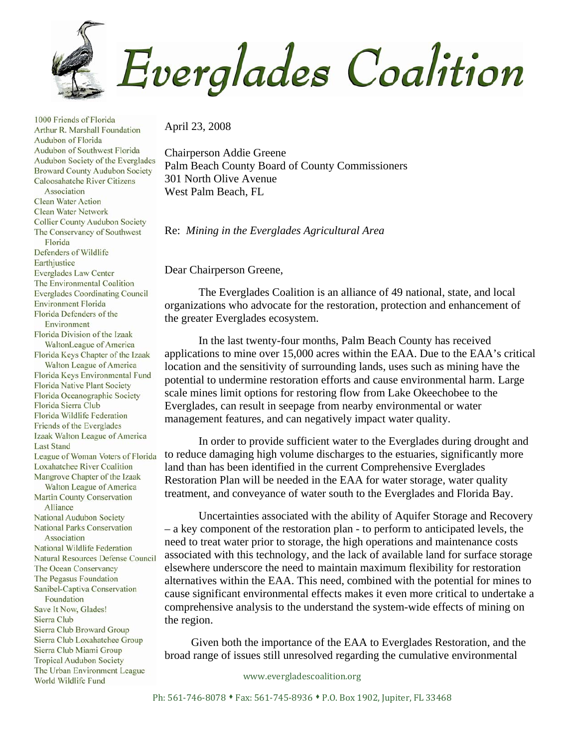

April 23, 2008

Chairperson Addie Greene Palm Beach County Board of County Commissioners 301 North Olive Avenue West Palm Beach, FL

Re: *Mining in the Everglades Agricultural Area* 

Dear Chairperson Greene,

The Everglades Coalition is an alliance of 49 national, state, and local organizations who advocate for the restoration, protection and enhancement of the greater Everglades ecosystem.

In the last twenty-four months, Palm Beach County has received applications to mine over 15,000 acres within the EAA. Due to the EAA's critical location and the sensitivity of surrounding lands, uses such as mining have the potential to undermine restoration efforts and cause environmental harm. Large scale mines limit options for restoring flow from Lake Okeechobee to the Everglades, can result in seepage from nearby environmental or water management features, and can negatively impact water quality.

In order to provide sufficient water to the Everglades during drought and to reduce damaging high volume discharges to the estuaries, significantly more land than has been identified in the current Comprehensive Everglades Restoration Plan will be needed in the EAA for water storage, water quality treatment, and conveyance of water south to the Everglades and Florida Bay.

Uncertainties associated with the ability of Aquifer Storage and Recovery – a key component of the restoration plan - to perform to anticipated levels, the need to treat water prior to storage, the high operations and maintenance costs associated with this technology, and the lack of available land for surface storage elsewhere underscore the need to maintain maximum flexibility for restoration alternatives within the EAA. This need, combined with the potential for mines to cause significant environmental effects makes it even more critical to undertake a comprehensive analysis to the understand the system-wide effects of mining on the region.

 Given both the importance of the EAA to Everglades Restoration, and the broad range of issues still unresolved regarding the cumulative environmental

www.evergladescoalition.org

Audubon of Southwest Florida Audubon Society of the Everglades **Broward County Audubon Society** Caloosahatche River Citizens Association **Clean Water Action Clean Water Network Collier County Audubon Society** The Conservancy of Southwest Florida Defenders of Wildlife Earthjustice **Everglades Law Center** The Environmental Coalition **Everglades Coordinating Council Environment Florida** Florida Defenders of the Environment Florida Division of the Izaak WaltonLeague of America Florida Keys Chapter of the Izaak Walton League of America Florida Keys Environmental Fund **Florida Native Plant Society** Florida Oceanographic Society Florida Sierra Club **Florida Wildlife Federation** Friends of the Everglades Izaak Walton League of America **Last Stand** League of Woman Voters of Florida **Loxahatchee River Coalition** Mangrove Chapter of the Izaak Walton League of America Martin County Conservation Alliance National Audubon Society **National Parks Conservation** Association National Wildlife Federation **Natural Resources Defense Council** The Ocean Conservancy The Pegasus Foundation Sanibel-Captiva Conservation Foundation Save It Now, Glades! Sierra Club Sierra Club Broward Group Sierra Club Loxahatchee Group Sierra Club Miami Group **Tropical Audubon Society** The Urban Environment League World Wildlife Fund

1000 Friends of Florida Arthur R. Marshall Foundation

Audubon of Florida